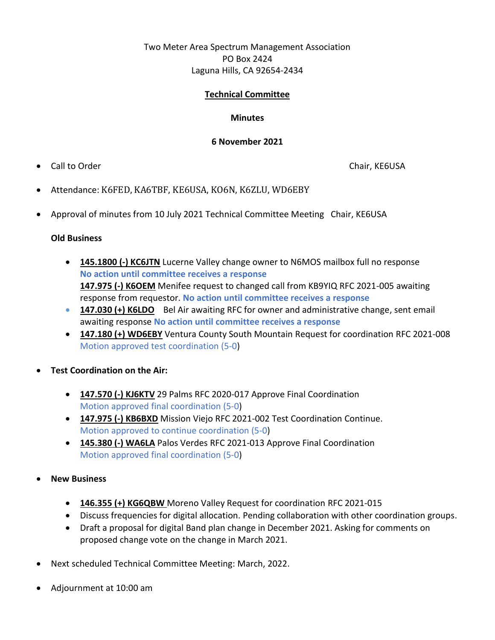# Two Meter Area Spectrum Management Association PO Box 2424 Laguna Hills, CA 92654-2434

### **Technical Committee**

### **Minutes**

#### **6 November 2021**

• Call to Order Chair, KE6USA

- Attendance: K6FED, KA6TBF, KE6USA, KO6N, K6ZLU, WD6EBY
- Approval of minutes from 10 July 2021 Technical Committee Meeting Chair, KE6USA

## **Old Business**

- **145.1800 (-) KC6JTN** Lucerne Valley change owner to N6MOS mailbox full no response **No action until committee receives a response 147.975 (-) K6OEM** Menifee request to changed call from KB9YIQ RFC 2021-005 awaiting response from requestor. **No action until committee receives a response**
- **147.030 (+) K6LDO** Bel Air awaiting RFC for owner and administrative change, sent email awaiting response **No action until committee receives a response**
- **147.180 (+) WD6EBY** Ventura County South Mountain Request for coordination RFC 2021-008 Motion approved test coordination (5-0)
- **Test Coordination on the Air:** 
	- **147.570 (-) KJ6KTV** 29 Palms RFC 2020-017 Approve Final Coordination Motion approved final coordination (5-0)
	- **147.975 (-) KB6BXD** Mission Viejo RFC 2021-002 Test Coordination Continue. Motion approved to continue coordination (5-0)
	- **145.380 (-) WA6LA** Palos Verdes RFC 2021-013 Approve Final Coordination Motion approved final coordination (5-0)
- **New Business**
	- **146.355 (+) KG6QBW** Moreno Valley Request for coordination RFC 2021-015
	- Discuss frequencies for digital allocation. Pending collaboration with other coordination groups.
	- Draft a proposal for digital Band plan change in December 2021. Asking for comments on proposed change vote on the change in March 2021.
- Next scheduled Technical Committee Meeting: March, 2022.
- Adjournment at 10:00 am